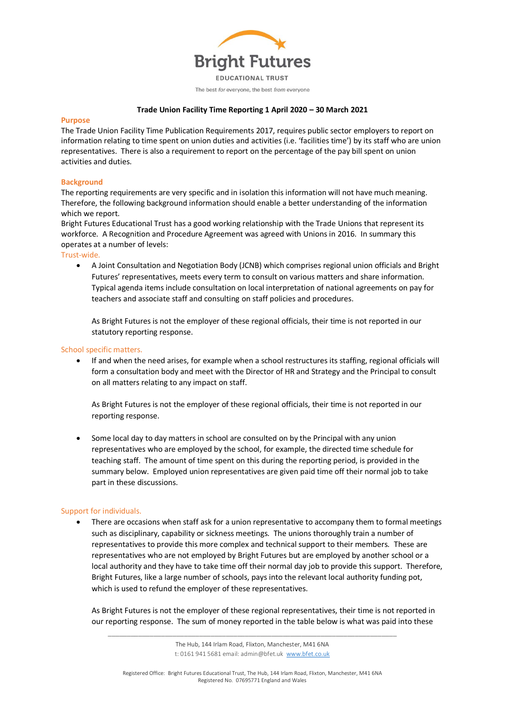

# **Trade Union Facility Time Reporting 1 April 2020 – 30 March 2021**

### **Purpose**

The Trade Union Facility Time Publication Requirements 2017, requires public sector employers to report on information relating to time spent on union duties and activities (i.e. 'facilities time') by its staff who are union representatives. There is also a requirement to report on the percentage of the pay bill spent on union activities and duties.

# **Background**

The reporting requirements are very specific and in isolation this information will not have much meaning. Therefore, the following background information should enable a better understanding of the information which we report.

Bright Futures Educational Trust has a good working relationship with the Trade Unions that represent its workforce. A Recognition and Procedure Agreement was agreed with Unions in 2016. In summary this operates at a number of levels:

Trust-wide.

• A Joint Consultation and Negotiation Body (JCNB) which comprises regional union officials and Bright Futures' representatives, meets every term to consult on various matters and share information. Typical agenda items include consultation on local interpretation of national agreements on pay for teachers and associate staff and consulting on staff policies and procedures.

As Bright Futures is not the employer of these regional officials, their time is not reported in our statutory reporting response.

# School specific matters.

• If and when the need arises, for example when a school restructures its staffing, regional officials will form a consultation body and meet with the Director of HR and Strategy and the Principal to consult on all matters relating to any impact on staff.

As Bright Futures is not the employer of these regional officials, their time is not reported in our reporting response.

• Some local day to day matters in school are consulted on by the Principal with any union representatives who are employed by the school, for example, the directed time schedule for teaching staff. The amount of time spent on this during the reporting period, is provided in the summary below. Employed union representatives are given paid time off their normal job to take part in these discussions.

### Support for individuals.

There are occasions when staff ask for a union representative to accompany them to formal meetings such as disciplinary, capability or sickness meetings. The unions thoroughly train a number of representatives to provide this more complex and technical support to their members. These are representatives who are not employed by Bright Futures but are employed by another school or a local authority and they have to take time off their normal day job to provide this support. Therefore, Bright Futures, like a large number of schools, pays into the relevant local authority funding pot, which is used to refund the employer of these representatives.

As Bright Futures is not the employer of these regional representatives, their time is not reported in our reporting response. The sum of money reported in the table below is what was paid into these